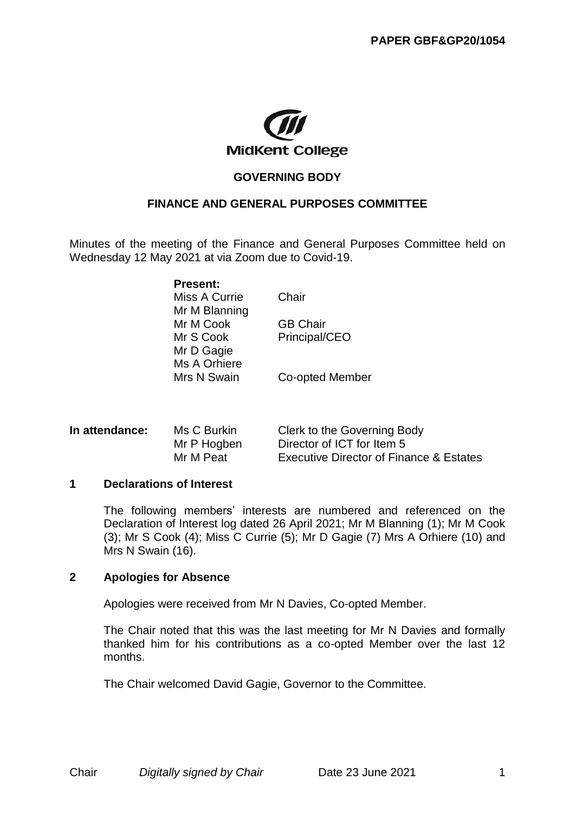

# **GOVERNING BODY**

## **FINANCE AND GENERAL PURPOSES COMMITTEE**

Minutes of the meeting of the Finance and General Purposes Committee held on Wednesday 12 May 2021 at via Zoom due to Covid-19.

**Present:**

Miss A Currie Chair Mr M Blanning Mr M Cook GB Chair Mr S Cook Principal/CEO Mr D Gagie Ms A Orhiere Mrs N Swain Co-opted Member

| In attendance: | Ms C Burkin | Clerk to the Governing Body                        |
|----------------|-------------|----------------------------------------------------|
|                | Mr P Hogben | Director of ICT for Item 5                         |
|                | Mr M Peat   | <b>Executive Director of Finance &amp; Estates</b> |

#### **1 Declarations of Interest**

The following members' interests are numbered and referenced on the Declaration of Interest log dated 26 April 2021; Mr M Blanning (1); Mr M Cook (3); Mr S Cook (4); Miss C Currie (5); Mr D Gagie (7) Mrs A Orhiere (10) and Mrs N Swain (16).

#### **2 Apologies for Absence**

Apologies were received from Mr N Davies, Co-opted Member.

The Chair noted that this was the last meeting for Mr N Davies and formally thanked him for his contributions as a co-opted Member over the last 12 months.

The Chair welcomed David Gagie, Governor to the Committee.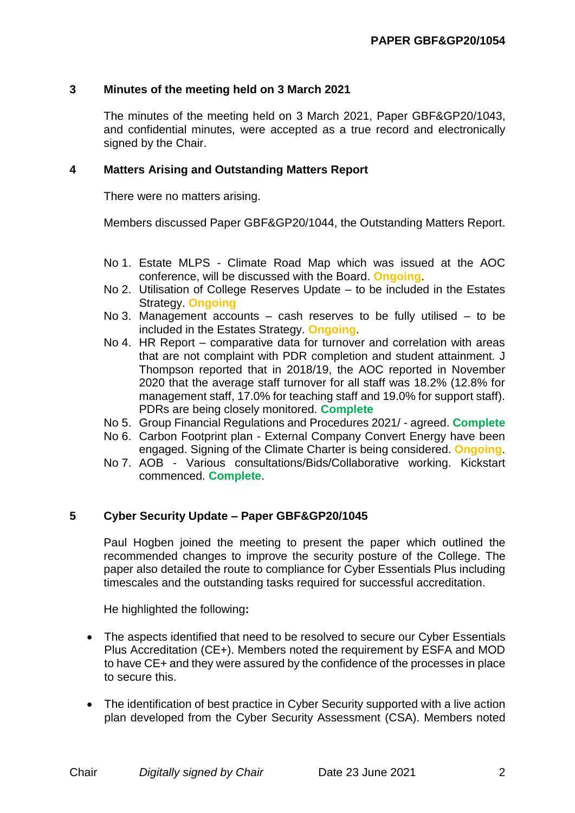# **3 Minutes of the meeting held on 3 March 2021**

The minutes of the meeting held on 3 March 2021, Paper GBF&GP20/1043, and confidential minutes, were accepted as a true record and electronically signed by the Chair.

## **4 Matters Arising and Outstanding Matters Report**

There were no matters arising.

Members discussed Paper GBF&GP20/1044, the Outstanding Matters Report.

- No 1. Estate MLPS Climate Road Map which was issued at the AOC conference, will be discussed with the Board. **Ongoing**.
- No 2. Utilisation of College Reserves Update to be included in the Estates Strategy. **Ongoing**
- No 3. Management accounts cash reserves to be fully utilised to be included in the Estates Strategy. **Ongoing**.
- No 4. HR Report comparative data for turnover and correlation with areas that are not complaint with PDR completion and student attainment. J Thompson reported that in 2018/19, the AOC reported in November 2020 that the average staff turnover for all staff was 18.2% (12.8% for management staff, 17.0% for teaching staff and 19.0% for support staff). PDRs are being closely monitored. **Complete**
- No 5. Group Financial Regulations and Procedures 2021/ agreed. **Complete**
- No 6. Carbon Footprint plan External Company Convert Energy have been engaged. Signing of the Climate Charter is being considered. **Ongoing**.
- No 7. AOB Various consultations/Bids/Collaborative working. Kickstart commenced. **Complete**.

# **5 Cyber Security Update – Paper GBF&GP20/1045**

Paul Hogben joined the meeting to present the paper which outlined the recommended changes to improve the security posture of the College. The paper also detailed the route to compliance for Cyber Essentials Plus including timescales and the outstanding tasks required for successful accreditation.

He highlighted the following**:**

- The aspects identified that need to be resolved to secure our Cyber Essentials Plus Accreditation (CE+). Members noted the requirement by ESFA and MOD to have CE+ and they were assured by the confidence of the processes in place to secure this.
- The identification of best practice in Cyber Security supported with a live action plan developed from the Cyber Security Assessment (CSA). Members noted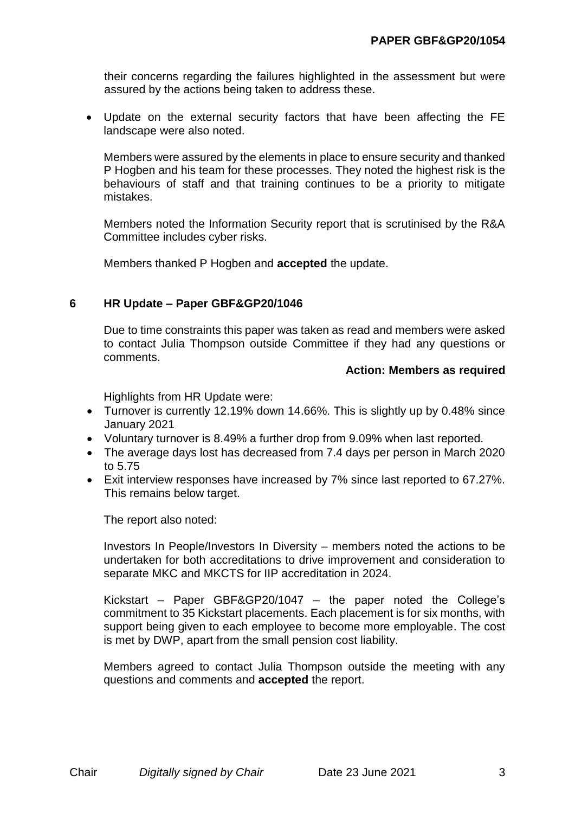their concerns regarding the failures highlighted in the assessment but were assured by the actions being taken to address these.

 Update on the external security factors that have been affecting the FE landscape were also noted.

Members were assured by the elements in place to ensure security and thanked P Hogben and his team for these processes. They noted the highest risk is the behaviours of staff and that training continues to be a priority to mitigate mistakes.

Members noted the Information Security report that is scrutinised by the R&A Committee includes cyber risks.

Members thanked P Hogben and **accepted** the update.

## **6 HR Update – Paper GBF&GP20/1046**

Due to time constraints this paper was taken as read and members were asked to contact Julia Thompson outside Committee if they had any questions or comments.

#### **Action: Members as required**

Highlights from HR Update were:

- Turnover is currently 12.19% down 14.66%. This is slightly up by 0.48% since January 2021
- Voluntary turnover is 8.49% a further drop from 9.09% when last reported.
- The average days lost has decreased from 7.4 days per person in March 2020 to 5.75
- Exit interview responses have increased by 7% since last reported to 67.27%. This remains below target.

The report also noted:

Investors In People/Investors In Diversity – members noted the actions to be undertaken for both accreditations to drive improvement and consideration to separate MKC and MKCTS for IIP accreditation in 2024.

Kickstart – Paper GBF&GP20/1047 – the paper noted the College's commitment to 35 Kickstart placements. Each placement is for six months, with support being given to each employee to become more employable. The cost is met by DWP, apart from the small pension cost liability.

Members agreed to contact Julia Thompson outside the meeting with any questions and comments and **accepted** the report.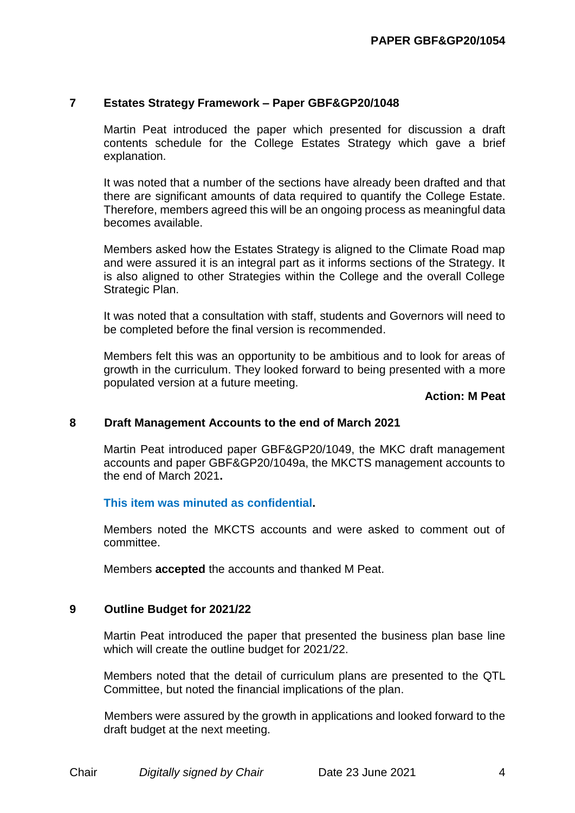## **7 Estates Strategy Framework – Paper GBF&GP20/1048**

Martin Peat introduced the paper which presented for discussion a draft contents schedule for the College Estates Strategy which gave a brief explanation.

It was noted that a number of the sections have already been drafted and that there are significant amounts of data required to quantify the College Estate. Therefore, members agreed this will be an ongoing process as meaningful data becomes available.

Members asked how the Estates Strategy is aligned to the Climate Road map and were assured it is an integral part as it informs sections of the Strategy. It is also aligned to other Strategies within the College and the overall College Strategic Plan.

It was noted that a consultation with staff, students and Governors will need to be completed before the final version is recommended.

Members felt this was an opportunity to be ambitious and to look for areas of growth in the curriculum. They looked forward to being presented with a more populated version at a future meeting.

#### **Action: M Peat**

#### **8 Draft Management Accounts to the end of March 2021**

Martin Peat introduced paper GBF&GP20/1049, the MKC draft management accounts and paper GBF&GP20/1049a, the MKCTS management accounts to the end of March 2021**.**

## **This item was minuted as confidential.**

Members noted the MKCTS accounts and were asked to comment out of committee.

Members **accepted** the accounts and thanked M Peat.

#### **9 Outline Budget for 2021/22**

Martin Peat introduced the paper that presented the business plan base line which will create the outline budget for 2021/22.

Members noted that the detail of curriculum plans are presented to the QTL Committee, but noted the financial implications of the plan.

Members were assured by the growth in applications and looked forward to the draft budget at the next meeting.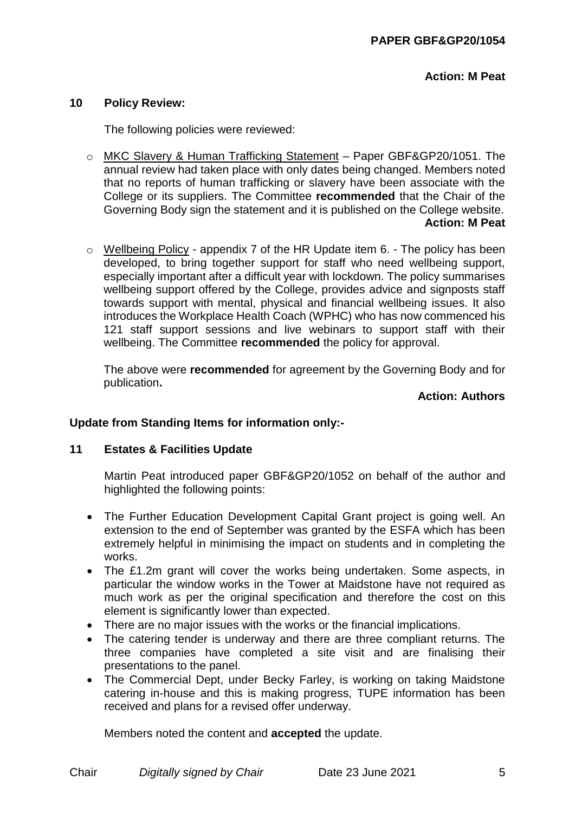**Action: M Peat**

## **10 Policy Review:**

The following policies were reviewed:

- o MKC Slavery & Human Trafficking Statement Paper GBF&GP20/1051. The annual review had taken place with only dates being changed. Members noted that no reports of human trafficking or slavery have been associate with the College or its suppliers. The Committee **recommended** that the Chair of the Governing Body sign the statement and it is published on the College website. **Action: M Peat**
- $\circ$  Wellbeing Policy appendix 7 of the HR Update item 6. The policy has been developed, to bring together support for staff who need wellbeing support, especially important after a difficult year with lockdown. The policy summarises wellbeing support offered by the College, provides advice and signposts staff towards support with mental, physical and financial wellbeing issues. It also introduces the Workplace Health Coach (WPHC) who has now commenced his 121 staff support sessions and live webinars to support staff with their wellbeing. The Committee **recommended** the policy for approval.

The above were **recommended** for agreement by the Governing Body and for publication**.**

#### **Action: Authors**

## **Update from Standing Items for information only:-**

## **11 Estates & Facilities Update**

Martin Peat introduced paper GBF&GP20/1052 on behalf of the author and highlighted the following points:

- The Further Education Development Capital Grant project is going well. An extension to the end of September was granted by the ESFA which has been extremely helpful in minimising the impact on students and in completing the works.
- The £1.2m grant will cover the works being undertaken. Some aspects, in particular the window works in the Tower at Maidstone have not required as much work as per the original specification and therefore the cost on this element is significantly lower than expected.
- There are no major issues with the works or the financial implications.
- The catering tender is underway and there are three compliant returns. The three companies have completed a site visit and are finalising their presentations to the panel.
- The Commercial Dept, under Becky Farley, is working on taking Maidstone catering in-house and this is making progress, TUPE information has been received and plans for a revised offer underway.

Members noted the content and **accepted** the update.